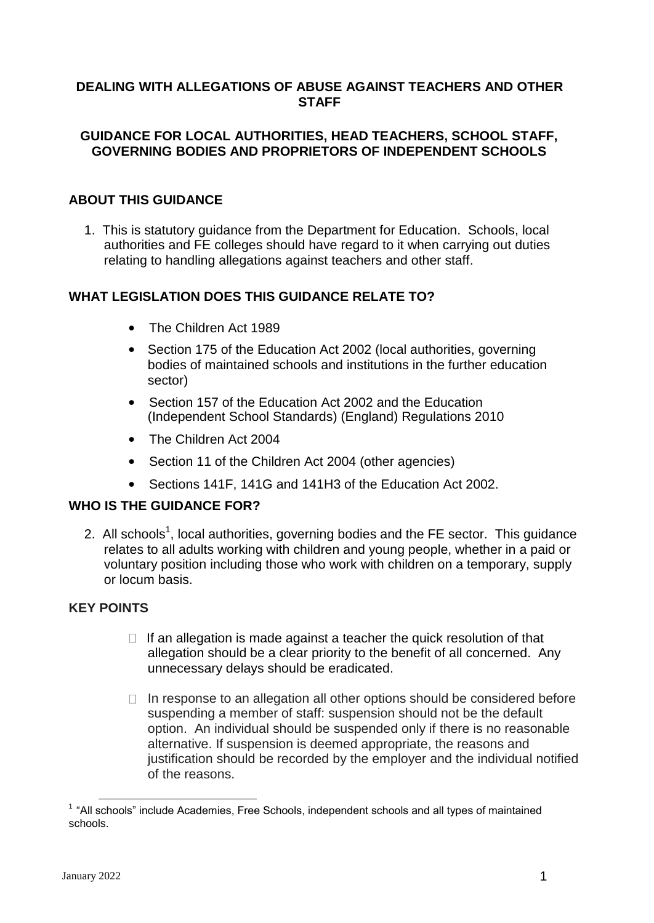## **DEALING WITH ALLEGATIONS OF ABUSE AGAINST TEACHERS AND OTHER STAFF**

# **GUIDANCE FOR LOCAL AUTHORITIES, HEAD TEACHERS, SCHOOL STAFF, GOVERNING BODIES AND PROPRIETORS OF INDEPENDENT SCHOOLS**

# **ABOUT THIS GUIDANCE**

1. This is statutory guidance from the Department for Education. Schools, local authorities and FE colleges should have regard to it when carrying out duties relating to handling allegations against teachers and other staff.

## **WHAT LEGISLATION DOES THIS GUIDANCE RELATE TO?**

- The Children Act 1989
- Section 175 of the Education Act 2002 (local authorities, governing bodies of maintained schools and institutions in the further education sector)
- Section 157 of the Education Act 2002 and the Education (Independent School Standards) (England) Regulations 2010
- The Children Act 2004
- Section 11 of the Children Act 2004 (other agencies)
- Sections 141F, 141G and 141H3 of the Education Act 2002.

## **WHO IS THE GUIDANCE FOR?**

2. All schools<sup>1</sup>, local authorities, governing bodies and the FE sector. This guidance relates to all adults working with children and young people, whether in a paid or voluntary position including those who work with children on a temporary, supply or locum basis.

## **KEY POINTS**

- If an allegation is made against a teacher the quick resolution of that  $\Box$ allegation should be a clear priority to the benefit of all concerned. Any unnecessary delays should be eradicated.
- $\Box$  In response to an allegation all other options should be considered before suspending a member of staff: suspension should not be the default option. An individual should be suspended only if there is no reasonable alternative. If suspension is deemed appropriate, the reasons and justification should be recorded by the employer and the individual notified of the reasons.

 $1$  "All schools" include Academies, Free Schools, independent schools and all types of maintained schools.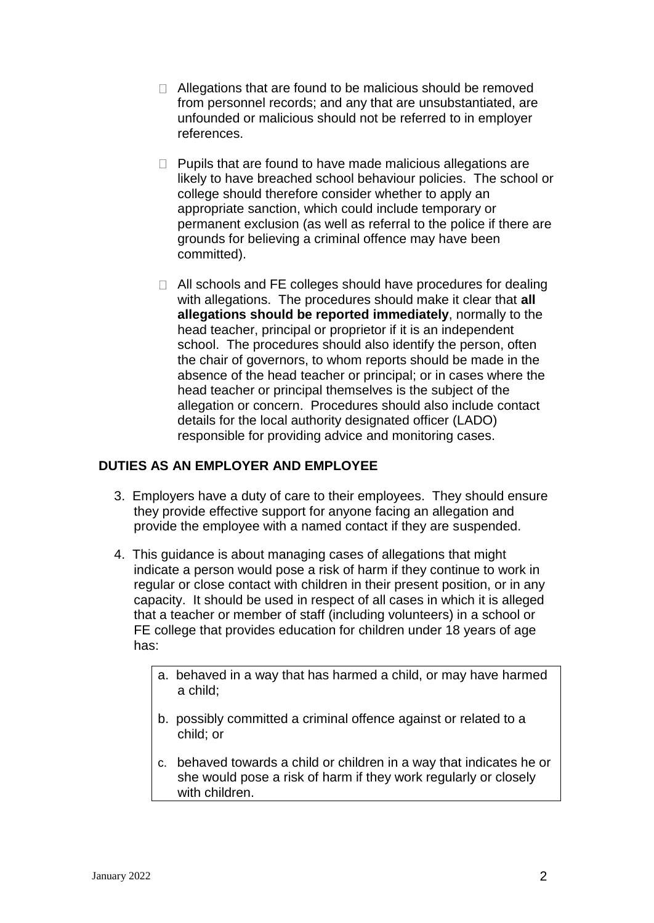- $\Box$  Allegations that are found to be malicious should be removed from personnel records; and any that are unsubstantiated, are unfounded or malicious should not be referred to in employer references.
- $\Box$  Pupils that are found to have made malicious allegations are likely to have breached school behaviour policies. The school or college should therefore consider whether to apply an appropriate sanction, which could include temporary or permanent exclusion (as well as referral to the police if there are grounds for believing a criminal offence may have been committed).
- $\Box$  All schools and FE colleges should have procedures for dealing with allegations. The procedures should make it clear that **all allegations should be reported immediately**, normally to the head teacher, principal or proprietor if it is an independent school. The procedures should also identify the person, often the chair of governors, to whom reports should be made in the absence of the head teacher or principal; or in cases where the head teacher or principal themselves is the subject of the allegation or concern. Procedures should also include contact details for the local authority designated officer (LADO) responsible for providing advice and monitoring cases.

## **DUTIES AS AN EMPLOYER AND EMPLOYEE**

- 3. Employers have a duty of care to their employees. They should ensure they provide effective support for anyone facing an allegation and provide the employee with a named contact if they are suspended.
- 4. This guidance is about managing cases of allegations that might indicate a person would pose a risk of harm if they continue to work in regular or close contact with children in their present position, or in any capacity. It should be used in respect of all cases in which it is alleged that a teacher or member of staff (including volunteers) in a school or FE college that provides education for children under 18 years of age has:
	- a. behaved in a way that has harmed a child, or may have harmed a child;
	- b. possibly committed a criminal offence against or related to a child; or
	- c. behaved towards a child or children in a way that indicates he or she would pose a risk of harm if they work regularly or closely with children.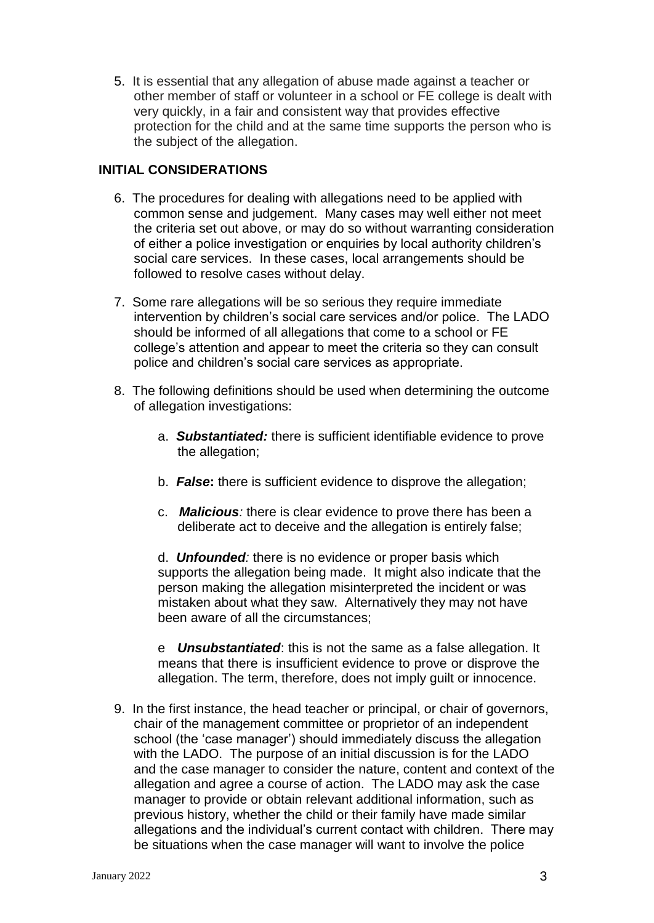5. It is essential that any allegation of abuse made against a teacher or other member of staff or volunteer in a school or FE college is dealt with very quickly, in a fair and consistent way that provides effective protection for the child and at the same time supports the person who is the subject of the allegation.

# **INITIAL CONSIDERATIONS**

- 6. The procedures for dealing with allegations need to be applied with common sense and judgement. Many cases may well either not meet the criteria set out above, or may do so without warranting consideration of either a police investigation or enquiries by local authority children's social care services. In these cases, local arrangements should be followed to resolve cases without delay.
- 7. Some rare allegations will be so serious they require immediate intervention by children's social care services and/or police. The LADO should be informed of all allegations that come to a school or FE college's attention and appear to meet the criteria so they can consult police and children's social care services as appropriate.
- 8. The following definitions should be used when determining the outcome of allegation investigations:
	- a. *Substantiated:* there is sufficient identifiable evidence to prove the allegation;
	- b. *False***:** there is sufficient evidence to disprove the allegation;
	- c. *Malicious:* there is clear evidence to prove there has been a deliberate act to deceive and the allegation is entirely false;

d. *Unfounded:* there is no evidence or proper basis which supports the allegation being made. It might also indicate that the person making the allegation misinterpreted the incident or was mistaken about what they saw. Alternatively they may not have been aware of all the circumstances;

e *Unsubstantiated*: this is not the same as a false allegation. It means that there is insufficient evidence to prove or disprove the allegation. The term, therefore, does not imply guilt or innocence.

9. In the first instance, the head teacher or principal, or chair of governors, chair of the management committee or proprietor of an independent school (the 'case manager') should immediately discuss the allegation with the LADO. The purpose of an initial discussion is for the LADO and the case manager to consider the nature, content and context of the allegation and agree a course of action. The LADO may ask the case manager to provide or obtain relevant additional information, such as previous history, whether the child or their family have made similar allegations and the individual's current contact with children. There may be situations when the case manager will want to involve the police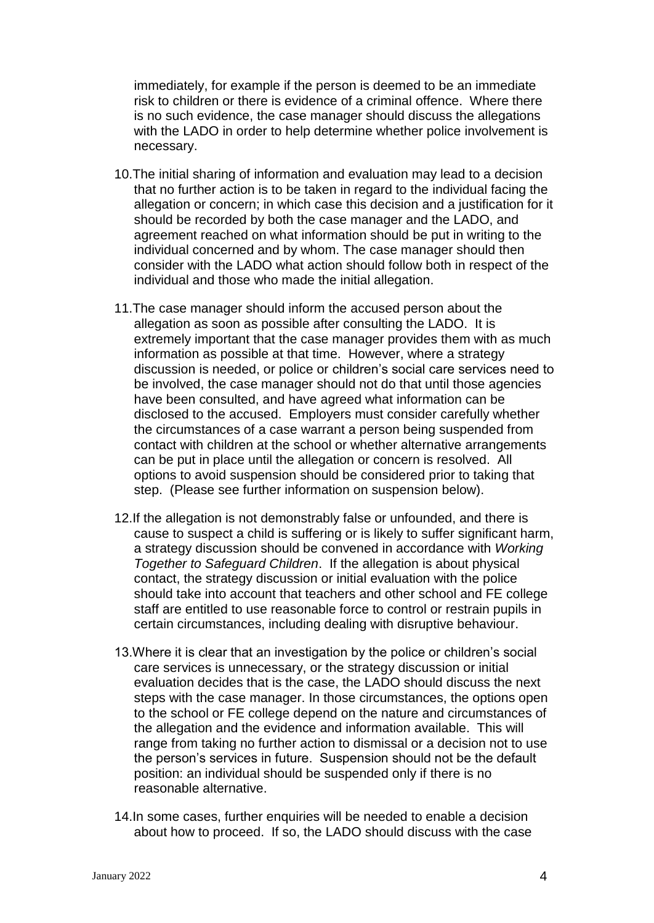immediately, for example if the person is deemed to be an immediate risk to children or there is evidence of a criminal offence. Where there is no such evidence, the case manager should discuss the allegations with the LADO in order to help determine whether police involvement is necessary.

- 10.The initial sharing of information and evaluation may lead to a decision that no further action is to be taken in regard to the individual facing the allegation or concern; in which case this decision and a justification for it should be recorded by both the case manager and the LADO, and agreement reached on what information should be put in writing to the individual concerned and by whom. The case manager should then consider with the LADO what action should follow both in respect of the individual and those who made the initial allegation.
- 11.The case manager should inform the accused person about the allegation as soon as possible after consulting the LADO. It is extremely important that the case manager provides them with as much information as possible at that time. However, where a strategy discussion is needed, or police or children's social care services need to be involved, the case manager should not do that until those agencies have been consulted, and have agreed what information can be disclosed to the accused. Employers must consider carefully whether the circumstances of a case warrant a person being suspended from contact with children at the school or whether alternative arrangements can be put in place until the allegation or concern is resolved. All options to avoid suspension should be considered prior to taking that step. (Please see further information on suspension below).
- 12.If the allegation is not demonstrably false or unfounded, and there is cause to suspect a child is suffering or is likely to suffer significant harm, a strategy discussion should be convened in accordance with *Working Together to Safeguard Children*. If the allegation is about physical contact, the strategy discussion or initial evaluation with the police should take into account that teachers and other school and FE college staff are entitled to use reasonable force to control or restrain pupils in certain circumstances, including dealing with disruptive behaviour.
- 13.Where it is clear that an investigation by the police or children's social care services is unnecessary, or the strategy discussion or initial evaluation decides that is the case, the LADO should discuss the next steps with the case manager. In those circumstances, the options open to the school or FE college depend on the nature and circumstances of the allegation and the evidence and information available. This will range from taking no further action to dismissal or a decision not to use the person's services in future. Suspension should not be the default position: an individual should be suspended only if there is no reasonable alternative.
- 14.In some cases, further enquiries will be needed to enable a decision about how to proceed. If so, the LADO should discuss with the case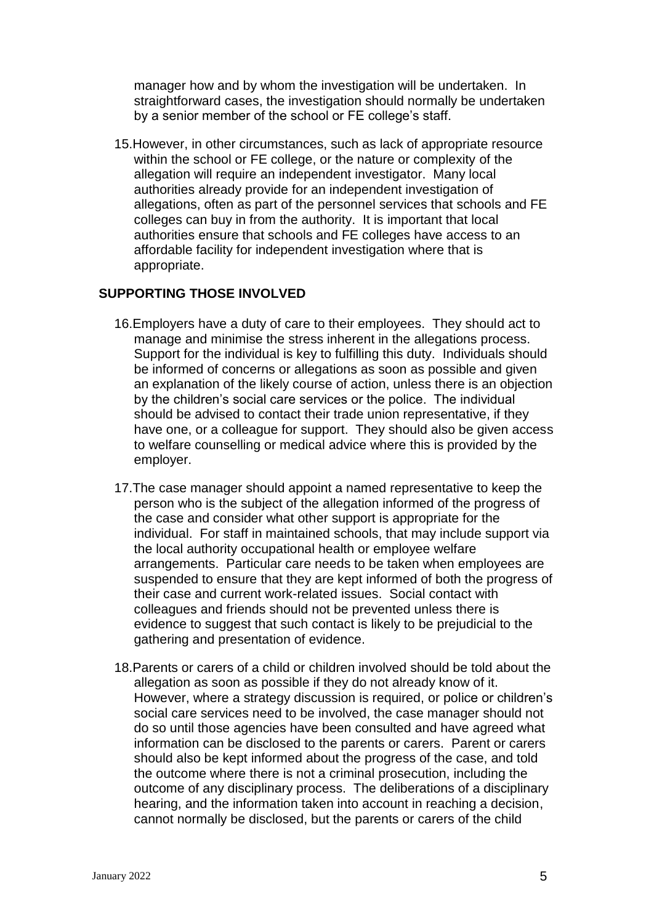manager how and by whom the investigation will be undertaken. In straightforward cases, the investigation should normally be undertaken by a senior member of the school or FE college's staff.

15.However, in other circumstances, such as lack of appropriate resource within the school or FE college, or the nature or complexity of the allegation will require an independent investigator. Many local authorities already provide for an independent investigation of allegations, often as part of the personnel services that schools and FE colleges can buy in from the authority. It is important that local authorities ensure that schools and FE colleges have access to an affordable facility for independent investigation where that is appropriate.

## **SUPPORTING THOSE INVOLVED**

- 16.Employers have a duty of care to their employees. They should act to manage and minimise the stress inherent in the allegations process. Support for the individual is key to fulfilling this duty. Individuals should be informed of concerns or allegations as soon as possible and given an explanation of the likely course of action, unless there is an objection by the children's social care services or the police. The individual should be advised to contact their trade union representative, if they have one, or a colleague for support. They should also be given access to welfare counselling or medical advice where this is provided by the employer.
- 17.The case manager should appoint a named representative to keep the person who is the subject of the allegation informed of the progress of the case and consider what other support is appropriate for the individual. For staff in maintained schools, that may include support via the local authority occupational health or employee welfare arrangements. Particular care needs to be taken when employees are suspended to ensure that they are kept informed of both the progress of their case and current work-related issues. Social contact with colleagues and friends should not be prevented unless there is evidence to suggest that such contact is likely to be prejudicial to the gathering and presentation of evidence.
- 18.Parents or carers of a child or children involved should be told about the allegation as soon as possible if they do not already know of it. However, where a strategy discussion is required, or police or children's social care services need to be involved, the case manager should not do so until those agencies have been consulted and have agreed what information can be disclosed to the parents or carers. Parent or carers should also be kept informed about the progress of the case, and told the outcome where there is not a criminal prosecution, including the outcome of any disciplinary process. The deliberations of a disciplinary hearing, and the information taken into account in reaching a decision, cannot normally be disclosed, but the parents or carers of the child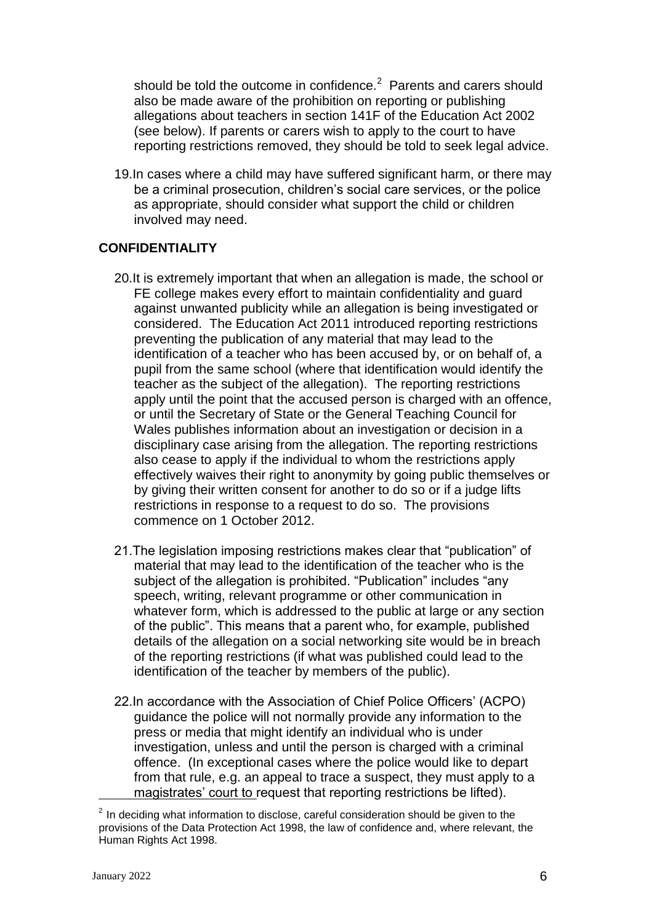should be told the outcome in confidence. $^2$  Parents and carers should also be made aware of the prohibition on reporting or publishing allegations about teachers in section 141F of the Education Act 2002 (see below). If parents or carers wish to apply to the court to have reporting restrictions removed, they should be told to seek legal advice.

19.In cases where a child may have suffered significant harm, or there may be a criminal prosecution, children's social care services, or the police as appropriate, should consider what support the child or children involved may need.

## **CONFIDENTIALITY**

- 20.It is extremely important that when an allegation is made, the school or FE college makes every effort to maintain confidentiality and guard against unwanted publicity while an allegation is being investigated or considered. The Education Act 2011 introduced reporting restrictions preventing the publication of any material that may lead to the identification of a teacher who has been accused by, or on behalf of, a pupil from the same school (where that identification would identify the teacher as the subject of the allegation). The reporting restrictions apply until the point that the accused person is charged with an offence, or until the Secretary of State or the General Teaching Council for Wales publishes information about an investigation or decision in a disciplinary case arising from the allegation. The reporting restrictions also cease to apply if the individual to whom the restrictions apply effectively waives their right to anonymity by going public themselves or by giving their written consent for another to do so or if a judge lifts restrictions in response to a request to do so. The provisions commence on 1 October 2012.
- 21.The legislation imposing restrictions makes clear that "publication" of material that may lead to the identification of the teacher who is the subject of the allegation is prohibited. "Publication" includes "any speech, writing, relevant programme or other communication in whatever form, which is addressed to the public at large or any section of the public". This means that a parent who, for example, published details of the allegation on a social networking site would be in breach of the reporting restrictions (if what was published could lead to the identification of the teacher by members of the public).
- 22.In accordance with the Association of Chief Police Officers' (ACPO) guidance the police will not normally provide any information to the press or media that might identify an individual who is under investigation, unless and until the person is charged with a criminal offence. (In exceptional cases where the police would like to depart from that rule, e.g. an appeal to trace a suspect, they must apply to a magistrates' court to request that reporting restrictions be lifted).

 $2$  In deciding what information to disclose, careful consideration should be given to the provisions of the Data Protection Act 1998, the law of confidence and, where relevant, the Human Rights Act 1998.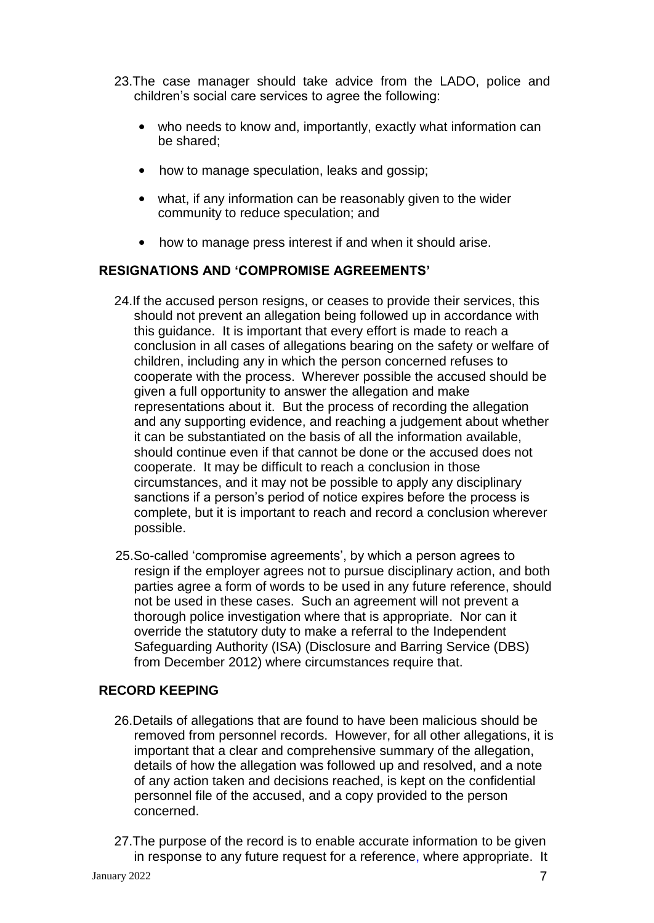- 23.The case manager should take advice from the LADO, police and children's social care services to agree the following:
	- who needs to know and, importantly, exactly what information can be shared;
	- how to manage speculation, leaks and gossip;
	- what, if any information can be reasonably given to the wider community to reduce speculation; and
	- how to manage press interest if and when it should arise.

#### **RESIGNATIONS AND 'COMPROMISE AGREEMENTS'**

- 24.If the accused person resigns, or ceases to provide their services, this should not prevent an allegation being followed up in accordance with this guidance. It is important that every effort is made to reach a conclusion in all cases of allegations bearing on the safety or welfare of children, including any in which the person concerned refuses to cooperate with the process. Wherever possible the accused should be given a full opportunity to answer the allegation and make representations about it. But the process of recording the allegation and any supporting evidence, and reaching a judgement about whether it can be substantiated on the basis of all the information available, should continue even if that cannot be done or the accused does not cooperate. It may be difficult to reach a conclusion in those circumstances, and it may not be possible to apply any disciplinary sanctions if a person's period of notice expires before the process is complete, but it is important to reach and record a conclusion wherever possible.
- 25.So-called 'compromise agreements', by which a person agrees to resign if the employer agrees not to pursue disciplinary action, and both parties agree a form of words to be used in any future reference, should not be used in these cases. Such an agreement will not prevent a thorough police investigation where that is appropriate. Nor can it override the statutory duty to make a referral to the Independent Safeguarding Authority (ISA) (Disclosure and Barring Service (DBS) from December 2012) where circumstances require that.

## **RECORD KEEPING**

- 26.Details of allegations that are found to have been malicious should be removed from personnel records. However, for all other allegations, it is important that a clear and comprehensive summary of the allegation, details of how the allegation was followed up and resolved, and a note of any action taken and decisions reached, is kept on the confidential personnel file of the accused, and a copy provided to the person concerned.
- 27.The purpose of the record is to enable accurate information to be given in response to any future request for a reference, where appropriate. It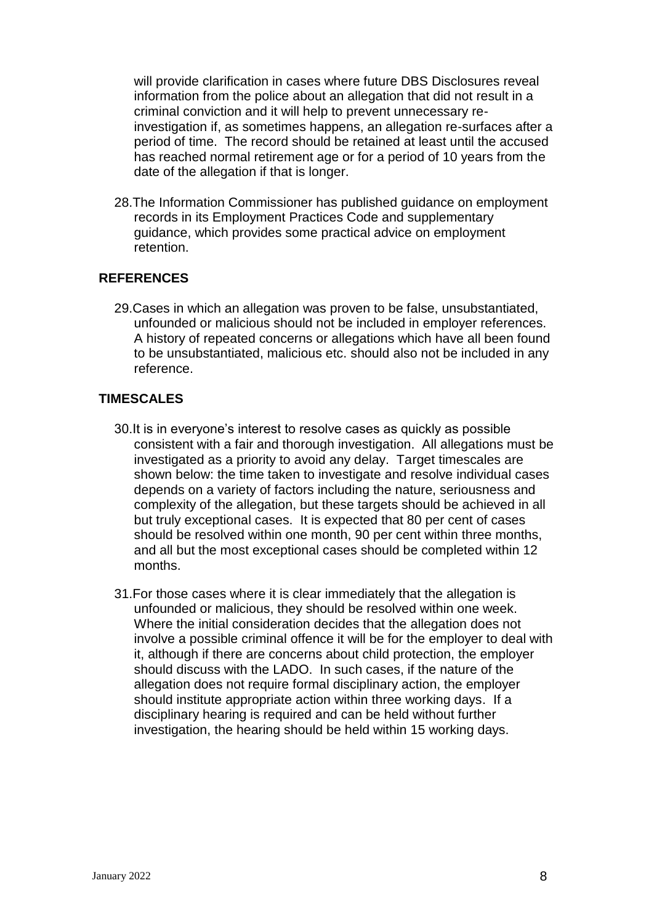will provide clarification in cases where future DBS Disclosures reveal information from the police about an allegation that did not result in a criminal conviction and it will help to prevent unnecessary reinvestigation if, as sometimes happens, an allegation re-surfaces after a period of time. The record should be retained at least until the accused has reached normal retirement age or for a period of 10 years from the date of the allegation if that is longer.

28.The Information Commissioner has published guidance on employment records in its Employment Practices Code and supplementary guidance, which provides some practical advice on employment retention.

## **REFERENCES**

29.Cases in which an allegation was proven to be false, unsubstantiated, unfounded or malicious should not be included in employer references. A history of repeated concerns or allegations which have all been found to be unsubstantiated, malicious etc. should also not be included in any reference.

# **TIMESCALES**

- 30.It is in everyone's interest to resolve cases as quickly as possible consistent with a fair and thorough investigation. All allegations must be investigated as a priority to avoid any delay. Target timescales are shown below: the time taken to investigate and resolve individual cases depends on a variety of factors including the nature, seriousness and complexity of the allegation, but these targets should be achieved in all but truly exceptional cases. It is expected that 80 per cent of cases should be resolved within one month, 90 per cent within three months, and all but the most exceptional cases should be completed within 12 months.
- 31.For those cases where it is clear immediately that the allegation is unfounded or malicious, they should be resolved within one week. Where the initial consideration decides that the allegation does not involve a possible criminal offence it will be for the employer to deal with it, although if there are concerns about child protection, the employer should discuss with the LADO. In such cases, if the nature of the allegation does not require formal disciplinary action, the employer should institute appropriate action within three working days. If a disciplinary hearing is required and can be held without further investigation, the hearing should be held within 15 working days.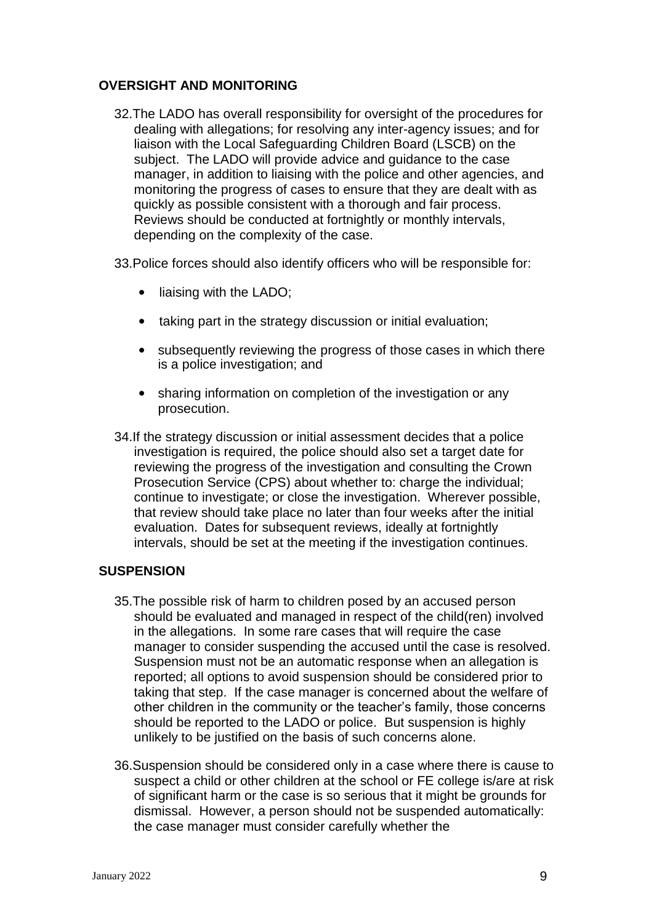## **OVERSIGHT AND MONITORING**

32.The LADO has overall responsibility for oversight of the procedures for dealing with allegations; for resolving any inter-agency issues; and for liaison with the Local Safeguarding Children Board (LSCB) on the subject. The LADO will provide advice and guidance to the case manager, in addition to liaising with the police and other agencies, and monitoring the progress of cases to ensure that they are dealt with as quickly as possible consistent with a thorough and fair process. Reviews should be conducted at fortnightly or monthly intervals, depending on the complexity of the case.

33.Police forces should also identify officers who will be responsible for:

- liaising with the LADO;
- taking part in the strategy discussion or initial evaluation;
- subsequently reviewing the progress of those cases in which there is a police investigation; and
- sharing information on completion of the investigation or any prosecution.
- 34.If the strategy discussion or initial assessment decides that a police investigation is required, the police should also set a target date for reviewing the progress of the investigation and consulting the Crown Prosecution Service (CPS) about whether to: charge the individual; continue to investigate; or close the investigation. Wherever possible, that review should take place no later than four weeks after the initial evaluation. Dates for subsequent reviews, ideally at fortnightly intervals, should be set at the meeting if the investigation continues.

## **SUSPENSION**

- 35.The possible risk of harm to children posed by an accused person should be evaluated and managed in respect of the child(ren) involved in the allegations. In some rare cases that will require the case manager to consider suspending the accused until the case is resolved. Suspension must not be an automatic response when an allegation is reported; all options to avoid suspension should be considered prior to taking that step. If the case manager is concerned about the welfare of other children in the community or the teacher's family, those concerns should be reported to the LADO or police. But suspension is highly unlikely to be justified on the basis of such concerns alone.
- 36.Suspension should be considered only in a case where there is cause to suspect a child or other children at the school or FE college is/are at risk of significant harm or the case is so serious that it might be grounds for dismissal. However, a person should not be suspended automatically: the case manager must consider carefully whether the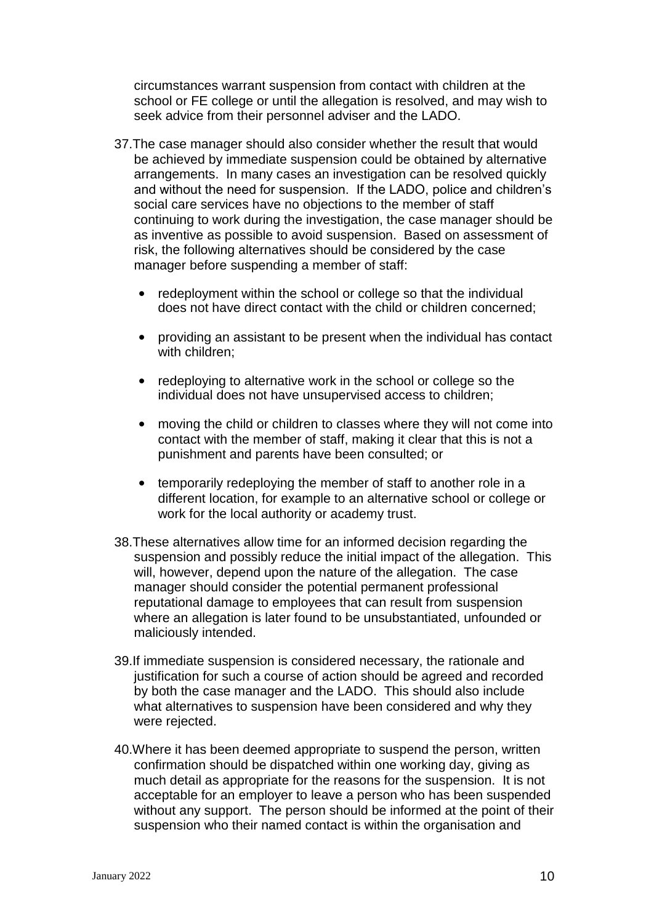circumstances warrant suspension from contact with children at the school or FE college or until the allegation is resolved, and may wish to seek advice from their personnel adviser and the LADO.

- 37.The case manager should also consider whether the result that would be achieved by immediate suspension could be obtained by alternative arrangements. In many cases an investigation can be resolved quickly and without the need for suspension. If the LADO, police and children's social care services have no objections to the member of staff continuing to work during the investigation, the case manager should be as inventive as possible to avoid suspension. Based on assessment of risk, the following alternatives should be considered by the case manager before suspending a member of staff:
	- redeployment within the school or college so that the individual does not have direct contact with the child or children concerned;
	- providing an assistant to be present when the individual has contact with children;
	- redeploving to alternative work in the school or college so the individual does not have unsupervised access to children;
	- moving the child or children to classes where they will not come into contact with the member of staff, making it clear that this is not a punishment and parents have been consulted; or
	- temporarily redeploying the member of staff to another role in a different location, for example to an alternative school or college or work for the local authority or academy trust.
- 38.These alternatives allow time for an informed decision regarding the suspension and possibly reduce the initial impact of the allegation. This will, however, depend upon the nature of the allegation. The case manager should consider the potential permanent professional reputational damage to employees that can result from suspension where an allegation is later found to be unsubstantiated, unfounded or maliciously intended.
- 39.If immediate suspension is considered necessary, the rationale and justification for such a course of action should be agreed and recorded by both the case manager and the LADO. This should also include what alternatives to suspension have been considered and why they were rejected.
- 40.Where it has been deemed appropriate to suspend the person, written confirmation should be dispatched within one working day, giving as much detail as appropriate for the reasons for the suspension. It is not acceptable for an employer to leave a person who has been suspended without any support. The person should be informed at the point of their suspension who their named contact is within the organisation and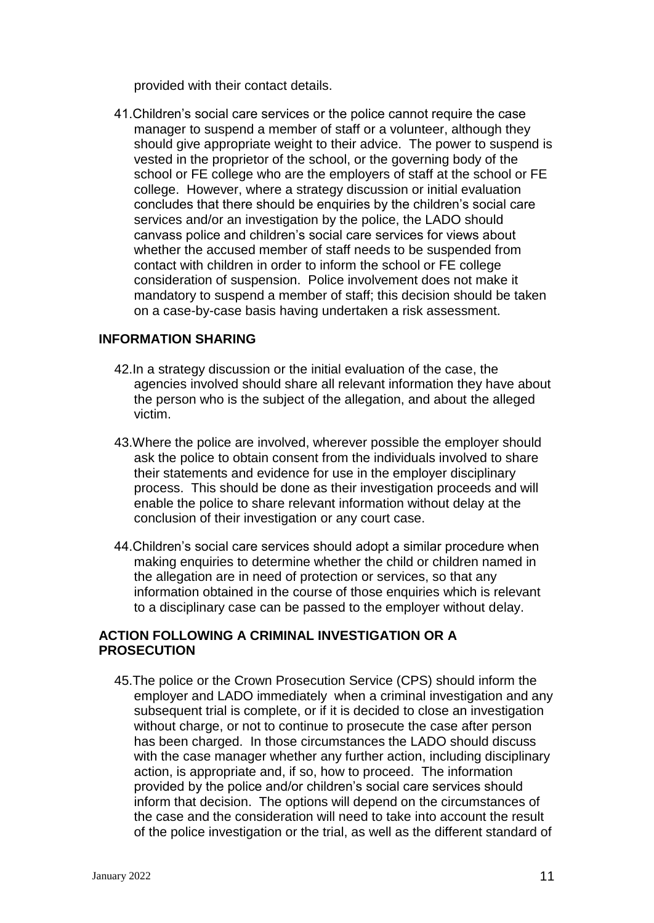provided with their contact details.

41.Children's social care services or the police cannot require the case manager to suspend a member of staff or a volunteer, although they should give appropriate weight to their advice. The power to suspend is vested in the proprietor of the school, or the governing body of the school or FE college who are the employers of staff at the school or FE college. However, where a strategy discussion or initial evaluation concludes that there should be enquiries by the children's social care services and/or an investigation by the police, the LADO should canvass police and children's social care services for views about whether the accused member of staff needs to be suspended from contact with children in order to inform the school or FE college consideration of suspension. Police involvement does not make it mandatory to suspend a member of staff; this decision should be taken on a case-by-case basis having undertaken a risk assessment.

## **INFORMATION SHARING**

- 42.In a strategy discussion or the initial evaluation of the case, the agencies involved should share all relevant information they have about the person who is the subject of the allegation, and about the alleged victim.
- 43.Where the police are involved, wherever possible the employer should ask the police to obtain consent from the individuals involved to share their statements and evidence for use in the employer disciplinary process. This should be done as their investigation proceeds and will enable the police to share relevant information without delay at the conclusion of their investigation or any court case.
- 44.Children's social care services should adopt a similar procedure when making enquiries to determine whether the child or children named in the allegation are in need of protection or services, so that any information obtained in the course of those enquiries which is relevant to a disciplinary case can be passed to the employer without delay.

## **ACTION FOLLOWING A CRIMINAL INVESTIGATION OR A PROSECUTION**

45.The police or the Crown Prosecution Service (CPS) should inform the employer and LADO immediately when a criminal investigation and any subsequent trial is complete, or if it is decided to close an investigation without charge, or not to continue to prosecute the case after person has been charged. In those circumstances the LADO should discuss with the case manager whether any further action, including disciplinary action, is appropriate and, if so, how to proceed. The information provided by the police and/or children's social care services should inform that decision. The options will depend on the circumstances of the case and the consideration will need to take into account the result of the police investigation or the trial, as well as the different standard of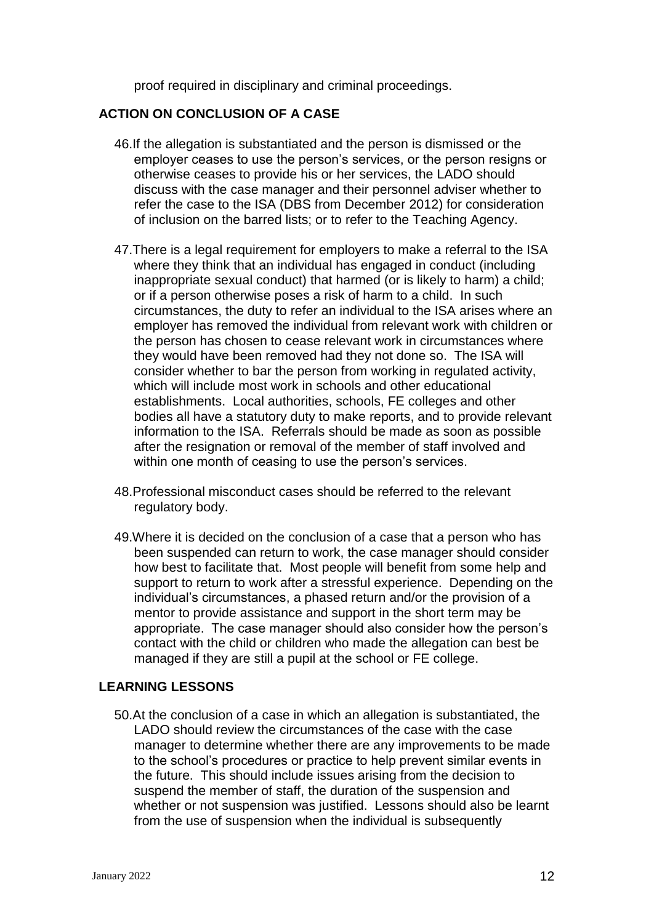proof required in disciplinary and criminal proceedings.

#### **ACTION ON CONCLUSION OF A CASE**

- 46.If the allegation is substantiated and the person is dismissed or the employer ceases to use the person's services, or the person resigns or otherwise ceases to provide his or her services, the LADO should discuss with the case manager and their personnel adviser whether to refer the case to the ISA (DBS from December 2012) for consideration of inclusion on the barred lists; or to refer to the Teaching Agency.
- 47.There is a legal requirement for employers to make a referral to the ISA where they think that an individual has engaged in conduct (including inappropriate sexual conduct) that harmed (or is likely to harm) a child; or if a person otherwise poses a risk of harm to a child. In such circumstances, the duty to refer an individual to the ISA arises where an employer has removed the individual from relevant work with children or the person has chosen to cease relevant work in circumstances where they would have been removed had they not done so. The ISA will consider whether to bar the person from working in regulated activity, which will include most work in schools and other educational establishments. Local authorities, schools, FE colleges and other bodies all have a statutory duty to make reports, and to provide relevant information to the ISA. Referrals should be made as soon as possible after the resignation or removal of the member of staff involved and within one month of ceasing to use the person's services.
- 48.Professional misconduct cases should be referred to the relevant regulatory body.
- 49.Where it is decided on the conclusion of a case that a person who has been suspended can return to work, the case manager should consider how best to facilitate that. Most people will benefit from some help and support to return to work after a stressful experience. Depending on the individual's circumstances, a phased return and/or the provision of a mentor to provide assistance and support in the short term may be appropriate. The case manager should also consider how the person's contact with the child or children who made the allegation can best be managed if they are still a pupil at the school or FE college.

#### **LEARNING LESSONS**

50.At the conclusion of a case in which an allegation is substantiated, the LADO should review the circumstances of the case with the case manager to determine whether there are any improvements to be made to the school's procedures or practice to help prevent similar events in the future. This should include issues arising from the decision to suspend the member of staff, the duration of the suspension and whether or not suspension was justified. Lessons should also be learnt from the use of suspension when the individual is subsequently